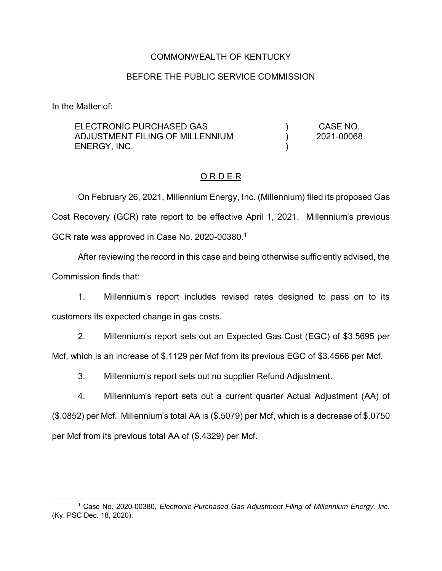### COMMONWEALTH OF KENTUCKY

# BEFORE THE PUBLIC SERVICE COMMISSION

In the Matter of:

| ELECTRONIC PURCHASED GAS        | CASE NO.   |
|---------------------------------|------------|
| ADJUSTMENT FILING OF MILLENNIUM | 2021-00068 |
| ENERGY, INC.                    |            |

### O R D E R

On February 26, 2021, Millennium Energy, Inc. (Millennium) filed its proposed Gas Cost Recovery (GCR) rate report to be effective April 1, 2021. Millennium's previous GCR rate was approved in Case No. 2020-00380.<sup>1</sup>

After reviewing the record in this case and being otherwise sufficiently advised, the Commission finds that:

1. Millennium's report includes revised rates designed to pass on to its customers its expected change in gas costs.

2. Millennium's report sets out an Expected Gas Cost (EGC) of \$3.5695 per Mcf, which is an increase of \$.1129 per Mcf from its previous EGC of \$3.4566 per Mcf.

3. Millennium's report sets out no supplier Refund Adjustment.

4. Millennium's report sets out a current quarter Actual Adjustment (AA) of (\$.0852) per Mcf. Millennium's total AA is (\$.5079) per Mcf, which is a decrease of \$.0750 per Mcf from its previous total AA of (\$.4329) per Mcf.

 <sup>1</sup> Case No. 2020-00380, *Electronic Purchased Gas Adjustment Filing of Millennium Energy, Inc.* (Ky. PSC Dec. 18, 2020).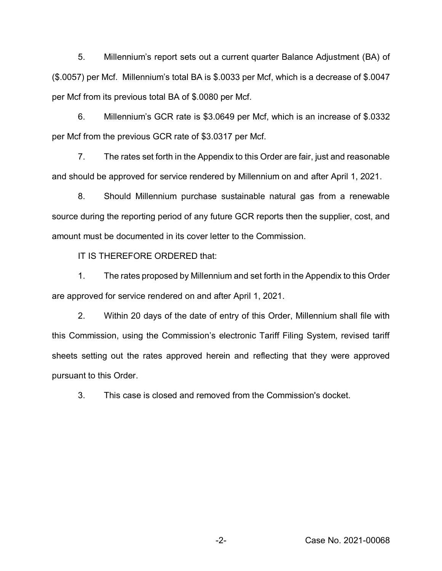5. Millennium's report sets out a current quarter Balance Adjustment (BA) of (\$.0057) per Mcf. Millennium's total BA is \$.0033 per Mcf, which is a decrease of \$.0047 per Mcf from its previous total BA of \$.0080 per Mcf.

6. Millennium's GCR rate is \$3.0649 per Mcf, which is an increase of \$.0332 per Mcf from the previous GCR rate of \$3.0317 per Mcf.

7. The rates set forth in the Appendix to this Order are fair, just and reasonable and should be approved for service rendered by Millennium on and after April 1, 2021.

8. Should Millennium purchase sustainable natural gas from a renewable source during the reporting period of any future GCR reports then the supplier, cost, and amount must be documented in its cover letter to the Commission.

IT IS THEREFORE ORDERED that:

1. The rates proposed by Millennium and set forth in the Appendix to this Order are approved for service rendered on and after April 1, 2021.

2. Within 20 days of the date of entry of this Order, Millennium shall file with this Commission, using the Commission's electronic Tariff Filing System, revised tariff sheets setting out the rates approved herein and reflecting that they were approved pursuant to this Order.

3. This case is closed and removed from the Commission's docket.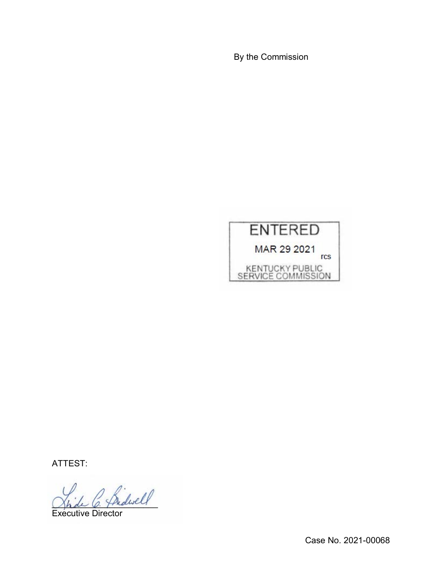By the Commission



ATTEST:

Bidwell

Executive Director

Case No. 2021-00068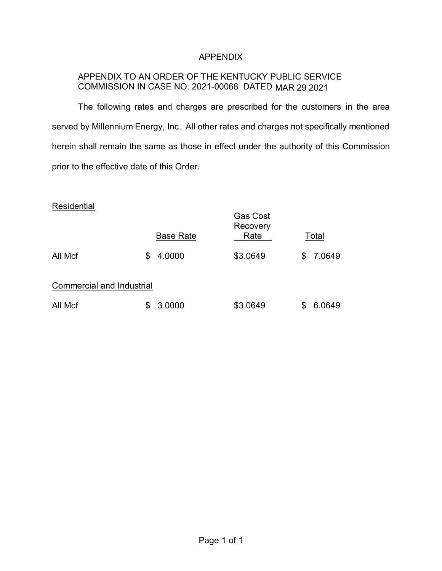# APPENDIX

# APPENDIX TO AN ORDER OF THE KENTUCKY PUBLIC SERVICE COMMISSION IN CASE NO. 2021-00068 DATED MAR 29 2021

The following rates and charges are prescribed for the customers in the area served by Millennium Energy, Inc. All other rates and charges not specifically mentioned herein shall remain the same as those in effect under the authority of this Commission prior to the effective date of this Order.

#### **Residential**

|                           |    | <b>Base Rate</b> | <b>Gas Cost</b><br>Recovery<br>Rate |    | Total  |  |  |  |
|---------------------------|----|------------------|-------------------------------------|----|--------|--|--|--|
| All Mcf                   | \$ | 4.0000           | \$3.0649                            | \$ | 7.0649 |  |  |  |
| Commercial and Industrial |    |                  |                                     |    |        |  |  |  |
| All Mcf                   | S  | 3.0000           | \$3.0649                            | S  | 6.0649 |  |  |  |